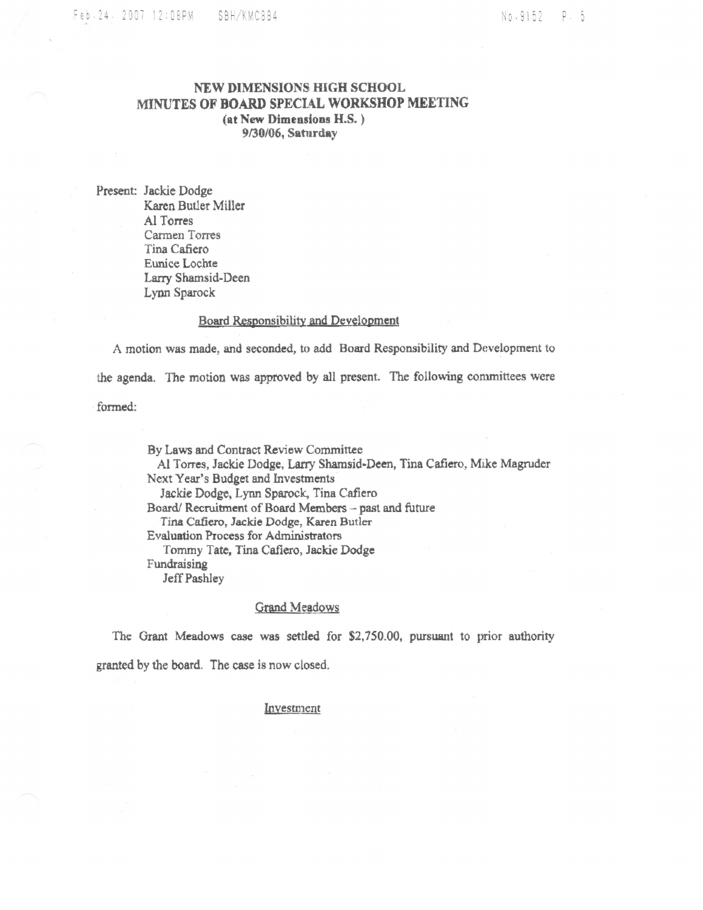## NEW DIMENSIONS HIGH SCHOOL MINUTES OF BOARD SPECIAL WORKSHOP MEETING (at New Dimensions H.S.) 9/30/06, Saturday

Present: Jackie Dodge Karen Butler Miller Al Torres Carmen Torres Tina Cafiero Eunice Lochte Larry Shamsid-Deen Lynn Sparock

#### Board Responsibility and Development

A motion was made, and seconded, to add Board Responsibility and Development to the agenda. The motion was approved by all present. The following committees were formed:

By Laws and Contract Review Committee Al Torres, Jackie Dodge, Larry Shamsid-Deen, Tina Cafiero, Mike Magruder Next Year's Budget and Investments Jackie Dodge, Lynn Sparock, Tina Cafiero Board/Recruitment of Board Members - past and future Tina Cafiero, Jackie Dodge, Karen Butler Evaluation Process for Administrators Tommy Tate, Tina Cafiero, Jackie Dodge Fundraising Jeff Pashley

### **Grand Meadows**

The Grant Meadows case was settled for \$2,750.00, pursuant to prior authority granted by the board. The case is now closed.

#### Investment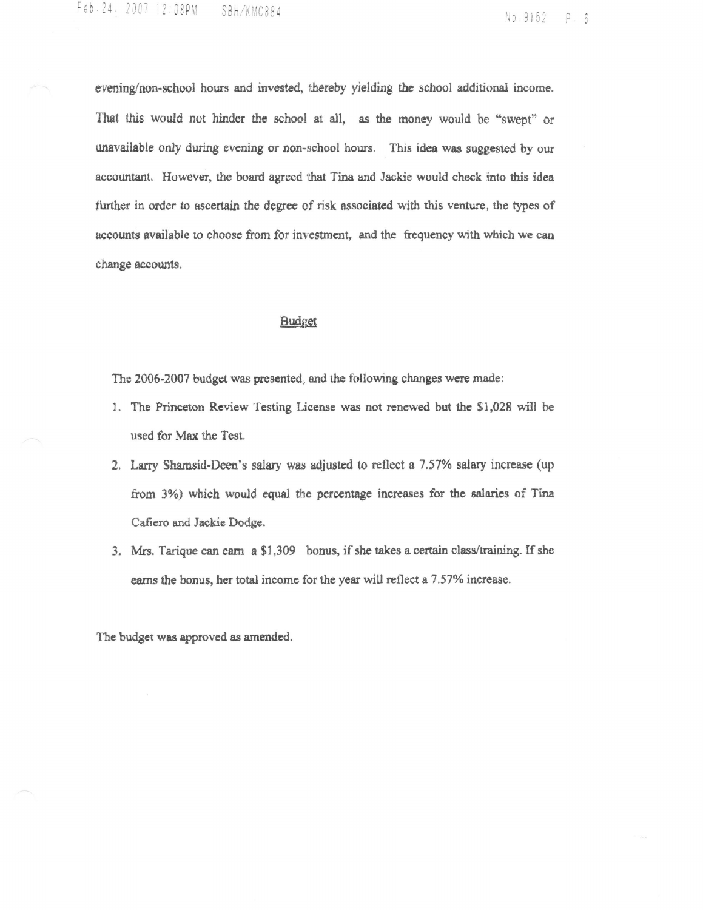evening/non-school hours and invested, thereby yielding the school additional income. That this would not hinder the school at all, as the money would be "swept" or unavailable only during evening or non-school hours. This idea was suggested by our accountant. However, the board agreed that Tina and Jackie would check into this idea further in order to ascertain the degree of risk associated with this venture, the types of accounts available to choose from for investment, and the frequency with which we can change accounts.

### Budget

The 2006-2007 budget was presented, and the following changes were made:

- 1. The Princeton Review Testing License was not renewed but the \$1,028 will be used for Max the Test.
- 2. Larry Shamsid-Deen's salary was adjusted to reflect a 7.57% salary increase (up from 3%) which would equal the percentage increases for the salaries of Tina Cafiero and Jackie Dodge.
- 3. Mrs. Tarique can earn a \$1,309 bonus, if she takes a certain class/training. If she earns the bonus, her total income for the year will reflect a 7.57% increase.

The budget was approved as amended.